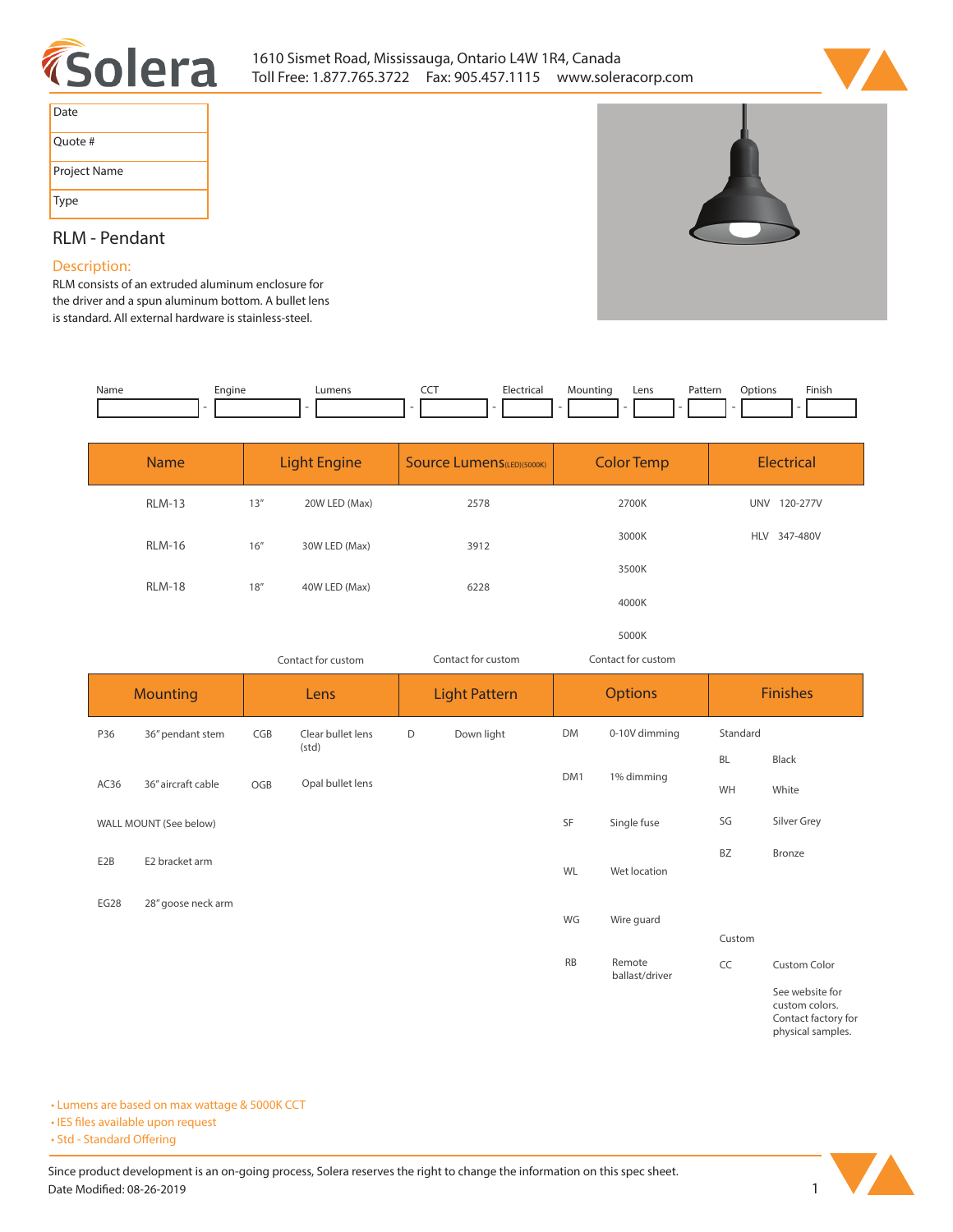



| Date         |
|--------------|
| Ouote #      |
| Project Name |
| Type         |

**BZ Bronze**

**Custom**

**CC Custom Color**

**See website for custom colors. Contact factory for physical samples.** 

# **RLM - Pendant**

## **Description:**

**RLM consists of an extruded aluminum enclosure for the driver and a spun aluminum bottom. A bullet lens is standard. All external hardware is stainless-steel.** 

| Name | Engine | ∟umens | --- | Electrical | Mountina | Lens | Pattern | .<br>Options | Finish |
|------|--------|--------|-----|------------|----------|------|---------|--------------|--------|
|      |        | ۰      |     |            |          |      |         |              |        |

|      | <b>Name</b>            |        | <b>Light Engine</b>        |   | <b>Source Lumens</b> (LED)(5000K) | <b>Color Temp</b> |                    |          | <b>Electrical</b> |
|------|------------------------|--------|----------------------------|---|-----------------------------------|-------------------|--------------------|----------|-------------------|
|      | <b>RLM-13</b>          | 13''   | 20W LED (Max)              |   | 2578                              | 2700K             |                    |          | UNV 120-277V      |
|      | <b>RLM-16</b>          | 16''   | 30W LED (Max)              |   | 3912                              | 3000K             |                    |          | HLV 347-480V      |
|      |                        |        | 3500K                      |   |                                   |                   |                    |          |                   |
|      | <b>RLM-18</b>          | $18''$ | 40W LED (Max)              |   | 6228                              | 4000K             |                    |          |                   |
|      |                        |        |                            |   |                                   | 5000K             |                    |          |                   |
|      |                        |        | Contact for custom         |   | Contact for custom                |                   | Contact for custom |          |                   |
|      | <b>Mounting</b>        |        | Lens                       |   | <b>Light Pattern</b>              | <b>Options</b>    |                    |          | <b>Finishes</b>   |
| P36  | 36" pendant stem       | CGB    | Clear bullet lens<br>(std) | D | Down light                        | DM                | 0-10V dimming      | Standard |                   |
|      |                        | OGB    |                            |   | DM <sub>1</sub>                   | 1% dimming        | <b>BL</b>          | Black    |                   |
| AC36 | 36" aircraft cable     |        | Opal bullet lens           |   |                                   |                   | WH                 | White    |                   |
|      | WALL MOUNT (See below) |        |                            |   |                                   | <b>SF</b>         | Single fuse        | SG       | Silver Grey       |

**WL Wet location**

**WG Wire guard**

**RB Remote** 

**ballast/driver**

**E2B E2 bracket arm**

**EG28 28" goose neck arm**

**• Lumens are based on max wattage & 5000K CCT**

**• IES files available upon request** 

• Std - Standard Offering